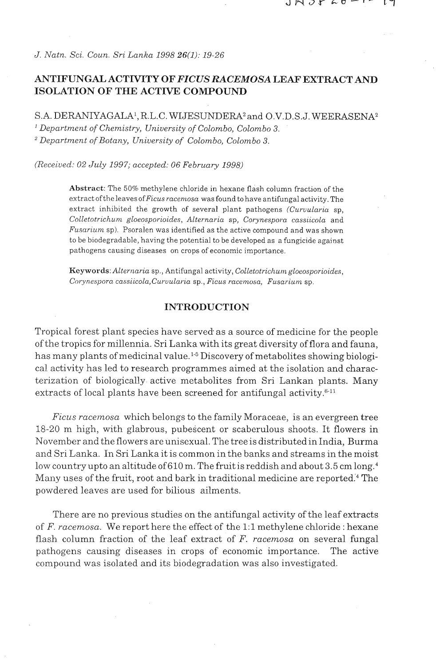*J. Natn. Sci. Coun.* **Sri** *Lanka 1998 26(l): 19-26* 

# **ANTIFUNGAL ACTMTY OF FICUS RACEMOSA LEAF EXTRACT AND ISOLATION OF THE ACTIVE COMPOUND**

S.A. DERANIYAGALA<sup>1</sup>, R.L.C. WIJESUNDERA<sup>2</sup> and O.V.D.S.J. WEERASENA<sup>2</sup> \* *Department of Chemistry, University of Colombo, Colombo 3. Wepartment of Botany, University of Colombo, Colombo 3.* 

*(Received: 02 July 1997; accepted: 06 February 1998)* 

**Abstract:** *The* 50% *methylene chloride in hexane flash column fraction of the*  extract of the leaves of *Ficus racemosa* was found to have antifungal activity. The *extract inhibited the growth of several plant pathogens (Curvularia sp, Colletotrichum gloeosporioides, Alternaria sp, Corynespora cassiicola and Fusarium sp).* Psoralen was identified as the active compound and was shown *to be biodegradable, having the potential to be developed as a fungicide against pathogens causing diseases on crops of economic importance.* 

**Keywords:** *Alternaria sp., Antifungal activity, Colletotrichunt gloeosporioides,*  Corynespora cassiicola, Curvularia sp., Ficus racemosa, Fusarium sp.

### **INTRODUCTION**

Tropical forest plant species have served as a source of medicine for the people of the tropics for millennia. Sri Lanka with its great diversity of flora and fauna, has many plants of medicinal value.<sup>1-5</sup> Discovery of metabolites showing biological activity has led to research programmes aimed at the isolation and characterization of biologically. active metabolites from Sri Lankan plants. Many extracts of local plants have been screened for antifungal activity. $6-11$ 

*Ficus racemosa* which belongs to the family Moraceae, is an evergreen tree 18-20 m high, with glabrous, pubescent or scaberulous shoots. It flowers in November and the flowers are unisexual. The tree is distributed in India, Burma and Sri Lanka. In Sri Lanka it is common in the banks and streams in the moist low country upto an altitude of 610 m. The fruit is reddish and about 3.5 cm long.<sup>4</sup> Many uses of the fruit, root and bark in traditional medicine are reported. $4$  The powdered leaves are used for bilious ailments.

There are no previous studies on the antifungal activity of the leaf extracts of F. *racemosa.* We report here the effect of the 1:l methylene chloride : hexane flash column fraction of the leaf extract of F. *racemosa* on several fungal pathogens causing diseases in crops of economic importance. The active compound was isolated and its biodegradation was also investigated.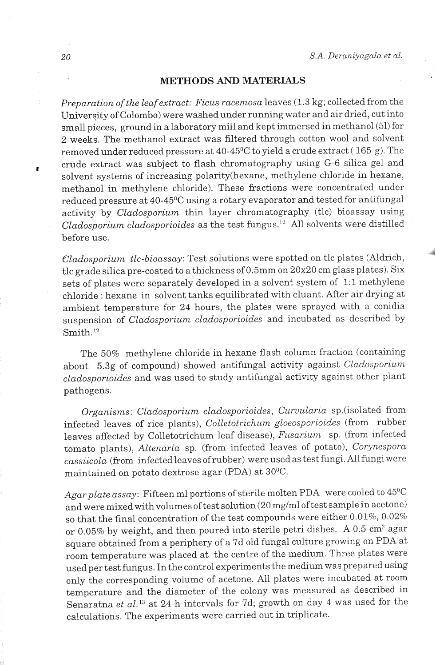## **METHODS** AND **MATERIALS**

*Preparation of the leaf extract: Ficus racemosa* leaves (1.3 kg; collected from the University of Colombo) were washed under running water and air dried, cut into small pieces, ground in a laboratory mill and kept immersed in methanol (51) for 2 weeks. The methanol extract was filtered through cotton wool and solvent removed under reduced pressure at 40-45°C to yield a crude extract (165 g). The crude extract was subject to flash chromatography using G-6 silica gel and solvent systems of increasing polarity(hexane, methylene chloride in hexane, methanol in methylene chloride). These fractions were concentrated under reduced pressure at 40-45<sup>o</sup>C using a rotary evaporator and tested for antifungal activity by *Cladosporium* thin layer chromatography (tlc) bioassay using *Cladosporium cladosporioides* as the test fungus.<sup>12</sup> All solvents were distilled before use.

*Cladosporium tlc-bioassay:* Test solutions were spotted on tlc plates (Aldrich, -1 tlc grade silica pre-coated to a thickness of 0.5mm on 20x20 cm glass plates). Six sets of plates were separately developed in a solvent system of 1:l methylene chloride : hexane in solvent tanks equilibrated with eluant. After air drying at ambient temperature for 24 hours, the plates were sprayed with a conidia suspension of *Cladosporiuln cladosporioides* and incubated as described by Smith. **l2** 

The 50% methylene chloride in hexane flash column fraction (containing about 5.3g of compound) showed antifungal activity against *Cladosporium cladosporioides* and was used to study antifungal activity against other plant pathogens.

*Organisms: Cladosporium cladosporioides, Curvularia* sp.(isolated from infected leaves of rice plants), *Colletotriclzum gloeosporioides* (from rubber leaves affected by Colletotrichum leaf disease), *Fusarium* sp. (from infected tomato plants), *Altenaria* sp. (from infected leaves of potato), *Corynespora cassiicola* (from infected leaves of rubber) were used as test fungi. All fungi were maintained on potato dextrose agar (PDA) at 30°C.

*Agarplate assay:* Fifteen ml portions of sterile molten PDA were cooled to 45°C and were mixed with volumes oftest solution (20 mg/ml oftest sample in acetone) so that the final concentration of the test compounds were either 0.01%, 0.02% or 0.05% by weight, and then poured into sterile petri dishes. A 0.5 cm<sup>2</sup> agar square obtained from a periphery of a 7d old fungal culture growing on PDA at room temperature was placed at the centre of the medium. Three plates were used per test fungus. In the control experiments the medium was preparedusing only the corresponding volume of acetone. All plates were incubated at room temperature and the diameter of the colony was measured as described in Senaratna *et a1.13* at *24* h intervals for 7d; growth on day 4 was used for the calculations. The experiments were carried out in triplicate.

×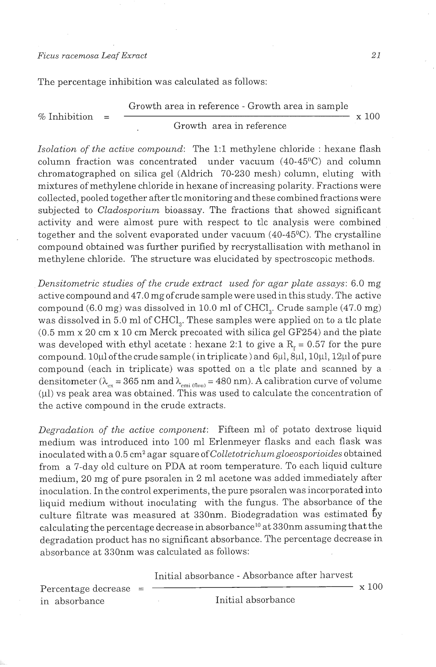#### *Ficus racemosa Leaf Exract*

The percentage inhibition was calculated as follows:

% Inhibition  $=$   $\frac{100}{x}$ 

# Growth area in reference

Growth area in reference - Growth area in sample

*Isolation of the active compound:* The 1:1 methylene chloride : hexane flash column fraction was concentrated under vacuum (40-45°C) and column chromatographed on silica gel (Aldrich 70-230 mesh) column, eluting with mixtures of methylene chloride in hexane of increasing polarity. Fractions were collected, pooled together after tlc monitoring and these combined fractions were subjected to *Cladosporium* bioassay. The fractions that showed significant activity and were almost pure with respect to tlc analysis were combined together and the solvent evaporated under vacuum  $(40-45\degree C)$ . The crystalline compound obtained was further purified by recrystallisation with methanol in methylene chloride. The structure was elucidated by spectroscopic methods.

*Densitometric studies of the crude extract used for agar plate assays:* 6.0 mg active compound and 47.0 mg of crude sample were used in this study. The active compound (6.0 mg) was dissolved in 10.0 ml of CHCI,. Crude sample (47.0 mg) was dissolved in 5.0 ml of CHCl<sub>2</sub>. These samples were applied on to a tlc plate (0.5 mm x 20 cm x 10 cm Merck precoated with silica gel GF254) and the plate was developed with ethyl acetate : hexane 2:1 to give a  $R<sub>r</sub> = 0.57$  for the pure compound. 10µl of the crude sample (in triplicate) and 6µl, 8µl, 10µl, 12µl of pure compound (each in triplicate) was spotted on a tlc plate and. scanned by a densitometer ( $\lambda_{ex}$  = 365 nm and  $\lambda_{emi (flow)}$  = 480 nm). A calibration curve of volume (ul) vs peak area was obtained. This was used to calculate the concentration of the active compound in the crude extracts.

*Degradation of the active component:* Fifteen ml of potato dextrose liquid medium was introduced into 100 ml Erlenmeyer flasks and each flask was inoculated with a 0.5 cm2 agar square of *Colletotriclzu~ngloeosporioides* obtained from a 7-day old culture on PDA at room temperature. To each liquid culture medium, 20 mg of pure psoralen in 2 ml acetone was added immediately after inoculation. In the control experiments, the pure psoralen was incorporated into liquid medium without inoculating with the fungus. The absorbance of the culture filtrate was measured at 330nm. Biodegradation was estimated by calculating the percentage decrease in absorbance<sup>10</sup> at 330nm assuming that the degradation product has no significant absorbance. The percentage decrease in absorbance at 330nm was calculated as follows:

Initial absorbance - Absorbance after harvest

Percentage decrease = x 100 in absorbance **Initial absorbance**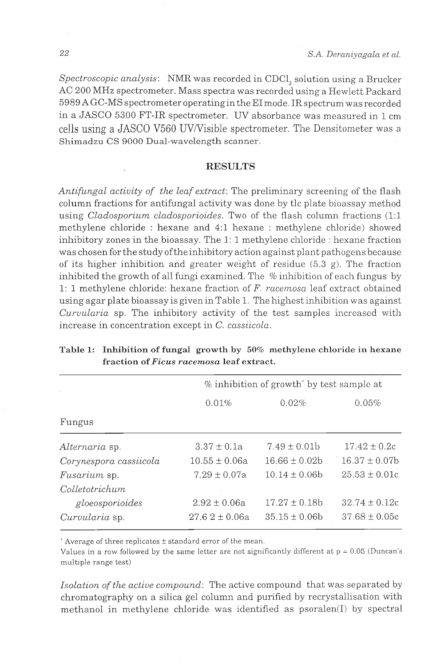*Spectroscopic analysis: NMR* was recorded in CDC1, solution using a Brucker AC 200 MHz spectrometer. Mass spectra was recorded using a Hewlett Packard 5989A GC-MS spectrometer operatinginthe EI mode. IR spectrum was recorded in a JASCO 5300 FT-IR spectrometer. UV absorbance was measured in 1 cm cells using a JASCO V560 UVNisible spectrometer. The Densitometer was a Shimadzu CS 9000 Dual-wavelength scanner.

#### **RESULTS**

*Antifungal activity of the leaf extract:* The preliminary screening of the flash column fractions for antifungal activity was done by tlc plate bioassay method using *Cladosporium cladosporioides*. Two of the flash column fractions (1:1) methylene chloride : hexane and 4:l hexane : methylene chloride) showed inhibitory zones in the bioassay. The I: 1 methylene chloride : hexane fraction was chosen for the study ofthe inhibitory action against plant pathogens because of its higher inhibition and greater weight of residue  $(5.3 \text{ g})$ . The fraction inhibited the growth of all fungi examined. The  $%$  inhibition of each fungus by 1: **1** methylene chloride: hexane fraction of F. *raceinosa* leaf' extract obtained using agar plate bioassay is given in Table 1. The highest inhibition was against *Curvularia* sp. The inhibitory activity of the test samples increased with. increase in concentration except in *C. cassiicolu.* 

|                        | % inhibition of growth by test sample at |                    |                   |
|------------------------|------------------------------------------|--------------------|-------------------|
|                        | 0.01%                                    | 0.02%              | 0.05%             |
| Fungus                 |                                          |                    |                   |
| Alternaria sp.         | $3.37 \pm 0.1a$                          | $7.49 \pm 0.01$    | $17.42 \pm 0.2c$  |
| Corynespora cassiicola | $10.55 \pm 0.06a$                        | $16.66 + 0.02b$    | $16.37 + 0.07b$   |
| Fusarium sp.           | $7.29 \pm 0.07a$                         | $10.14 \pm 0.06$   | $25.53 + 0.01c$   |
| <i>Colletotrichum</i>  |                                          |                    |                   |
| gloeosporioides        | $2.92 + 0.06a$                           | $17.27 \pm 0.18$ b | $32.74 \pm 0.12c$ |
| Curvularia sp.         | $27.62 + 0.06a$                          | $35.15 \pm 0.06$   | $37.68 \pm 0.05c$ |

**Table 1: Inhibition of fungal growth by 50% methylene chloride in hexane fraction of Ficus** *racemosa* **leaf extract.** 

 $*$  Average of three replicates  $\pm$  standard error of the mean.

Values in a row followed by the same letter are not significantly different at  $p = 0.05$  (Duncan's multiple range test)

*Isolation of the active compound:* The active compound that was separated by chromatography on a silica gel column and purified by recrystallisation with methanol in methylene chloride was identified as psoralen(1) by spectral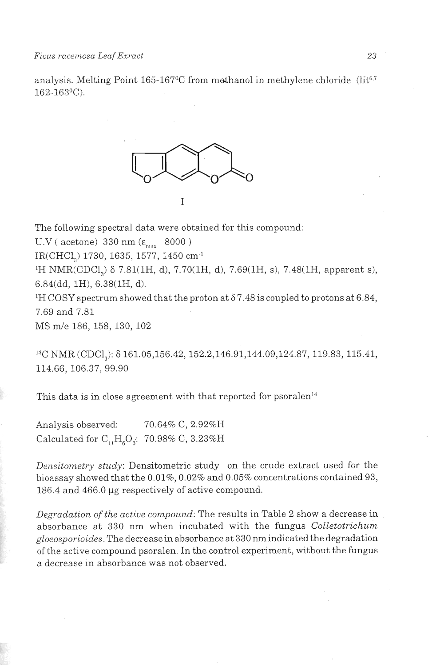analysis. Melting Point  $165-167^{\circ}$ C from methanol in methylene chloride (lit<sup>6.7</sup>)  $162 - 163^{\circ}$ C).



The following spectral data were obtained for this compound:

U.V ( acetone) 330 nm (ε<sub>max</sub> 8000)

IR(CHC1,) 1730, 1635,1577, 1450 cm-'

'H NMR(CDC1,) 6 7.81(1H, d), 7.70(1H, d), 7.69(1H, s), 7.48(1H, apparent s), 6.84(dd, IH), 6.38(1H, d).

<sup>1</sup>H COSY spectrum showed that the proton at  $\delta$  7.48 is coupled to protons at 6.84, 7.69 and 7.81

MS m/e 186, 158, 130, 102

<sup>13</sup>C NMR (CDCl<sub>3</sub>):  $\delta$  161.05,156.42, 152.2,146.91,144.09,124.87, 119.83, 115.41, 114.66, 106.37, 99.90

This data is in close agreement with that reported for psoralen<sup>14</sup>

Analysis observed: 70.64% C, 2.92%H Calculated for  $C_i, H_sO_i$ : 70.98% C, 3.23%H

*Densitometry study:* Densitometric study on the crude extract used for the bioassay showed that the 0.01%, 0.02% and 0.05% concentrations contained 93, 186.4 and 466.0 µg respectively of active compound.

*Degradation of the active compound:* The results in Table 2 show a decrease in absorbance at 330 nm when incubated with the fungus *Colletotrichum gloeosporioides.* The decrease in absorbance at 330 nmindicated the degradation of the active compound psoralen. In the control experiment, without the fungus a decrease in absorbance was not observed.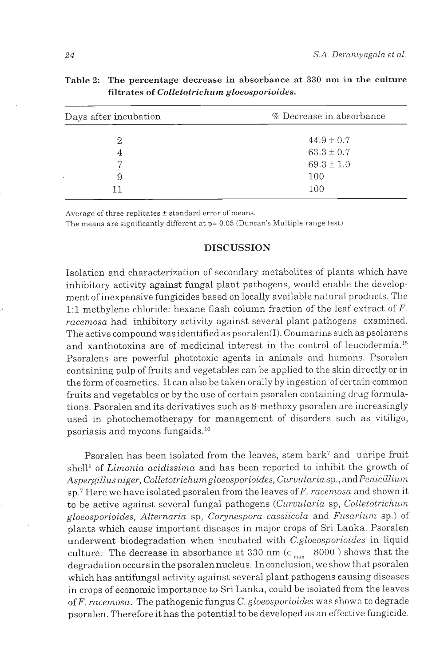| Days after incubation | % Decrease in absorbance |  |
|-----------------------|--------------------------|--|
| 2                     | $44.9 \pm 0.7$           |  |
| 4                     | $63.3 \pm 0.7$           |  |
|                       | $69.3 \pm 1.0$           |  |
| 9                     | 100                      |  |
|                       | 100                      |  |
| $\sim$                |                          |  |

**Table 2: The percentage decrease in absorbance at 330 nm in the culture**   $filtrates of *Collectrichum gloesporioides*.$ 

Average of three replicates  $\pm$  standard error of means.

The means are significantly different at  $p = 0.05$  (Duncan's Multiple range test)

### **DISCUSSION**

Isolation and characterization of secondary metabolites of plants which have inhibitory activity against fungal plant pathogens, would enable the development of inexpensive fungicides based on locally available natural products. The 1:1 methylene chloride: hexane flash column fraction of the leaf extract of  $F$ . *racemosa* had inhibitory activity against several plant pathogens examined. The active compound was identified as  $p$ soralen(I). Coumarins such as  $p$ solarens and xanthotoxins are of medicinal interest in the control of leucodermia.<sup>15</sup> Psoralens are powerful phototoxic agents in animals and humans. Psoralen containing pulp of fruits and vegetables can be applied to the slrin directly or in the form of cosmetics. It can also be taken orally by ingestion of certain common fruits and vegetables or by the use of certain psoralen containing drug formulations. Psoralen and its derivatives such as 8-methoxy psoralen are increasingly used in photochemotherapy for management of disorders such as vitiligo, psoriasis and mycons fungaids. $^{16}$ 

Psoralen has been isolated from the leaves, stem bark<sup>7</sup> and unripe fruit shell<sup>6</sup> of *Limonia acidissima* and has been reported to inhibit the growth of *Aspergillus niger,* Colletotrichumgloeosporioides, *Cvrvularia* sp., and *Penicilliz~m*  sp.I Here we have isolated psoralen from the leaves of F. *racemosa* and shown it to be active against several fungal pathogens *(Curvularia sp, Colletotrichum gloeosporioides, Alternaria sp, Corynespora cassiicola and Fusarium sp.)* of plants which cause important diseases in major crops of Sri Lanka. Psoralcn underwent biodegradation when incubated with *C.gloeosporioides* in liquid culture. The decrease in absorbance at 330 nm  $(\epsilon_{\text{max}}$  8000  $)$  shows that the degradation occurs in the psoralen nucleus. In conclusion, we show that psoralen which has antifungal activity against several plant pathogens causing diseases in crops of economic importance to Sri Lanka, could be isolated from the leaves ofF. *racemosa.* The pathogenic fungus *C. gloeosporioides* was shown to degrade psoralen. Therefore it has the potential to be developed as an effective fungicide.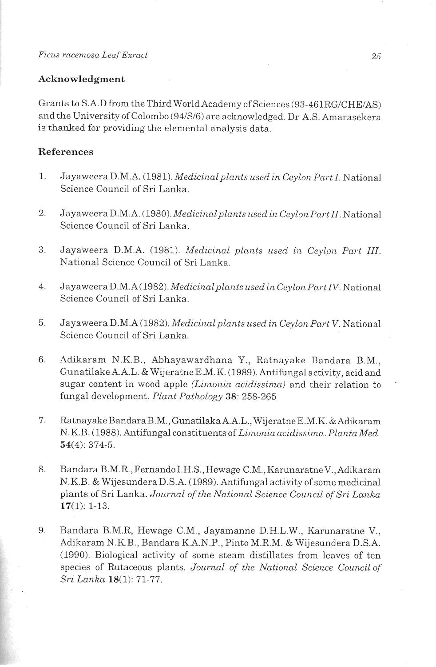## **Acknowledgment**

Grants to S.A.D from the Third World Academy of Sciences (93-461RG/CHE/AS) and the University of Colombo (94/S/6) are acknowledged. Dr A.S. Amarasekera is thanked for providing the elemental analysis data.

# **References**

- 1. Jayaweera D.M.A. (1981). *Medicinal plants used in Ceylon Part I*. National Science Council of Sri Lanka.
- 2. JayaweeraD.M.A. (1980). *Medicinalplants usecl in Ceylon Part II.* National Science Council of Sri Lanka.
- 3. Jayaweera D.M.A. (1981). *Medicinal plants used in Ceylon Part III.* National Science Council of Sri Lanka.
- **4.** JayaweeraD.M.A(l982). *Medicinalplants used in Ce,ylon. Part IV.* National Science Council of Sri Lanka .
- 5. Jayaweera D.M.A (1982). *Medicinal plants used in Ceylon Part V*. National Science Council of Sri Lanka.
- 6. Adikaram N.K.B., Abhayawardhana Y., Ratnayake Bandara B.M., Gunatilake A.A.L. & Wijeratne E.M.K. (1989). Antifungal activity, acid and sugar content in wood apple *(Limonia acidissima)* and their relation to fungal development. *Plant Pathology* **38:** 258-265
- 7. Ratnayake Bandara B.M., Gunatilaka A.A.L., Wijeratne E.M.K. & Adikaram N.K.B. (1988). Antifungal constituents of *Limonia acidissima. Planta Med.* 54(4): 374-5.
- 8. Bandara B.M.R., Fernando I.H.S., Hewage C.M., KarunaratneV., Adikaram N.K.B. & WijesunderaD.S.A. (1989). Antifungal activity of some medicinal plants of Sri Lanka. *Journal of tlte National Science Council of Sri Lanka*  **17(1):** *1-13.*
- 9. Bandara B.M.R, Hewage C.M., Jayamanne D.H.L.W., Karunaratne V., Adikaram N.K.B., Bandara K.A.N.P., Pinto M.R.M. & Wijesundera D.S.A. (1990). Biological activity of some steam distillates from leaves of ten species of Rutaceous plants. *Journal of the National Science Council of Sri Lalzka* **18(1):** 71-77.